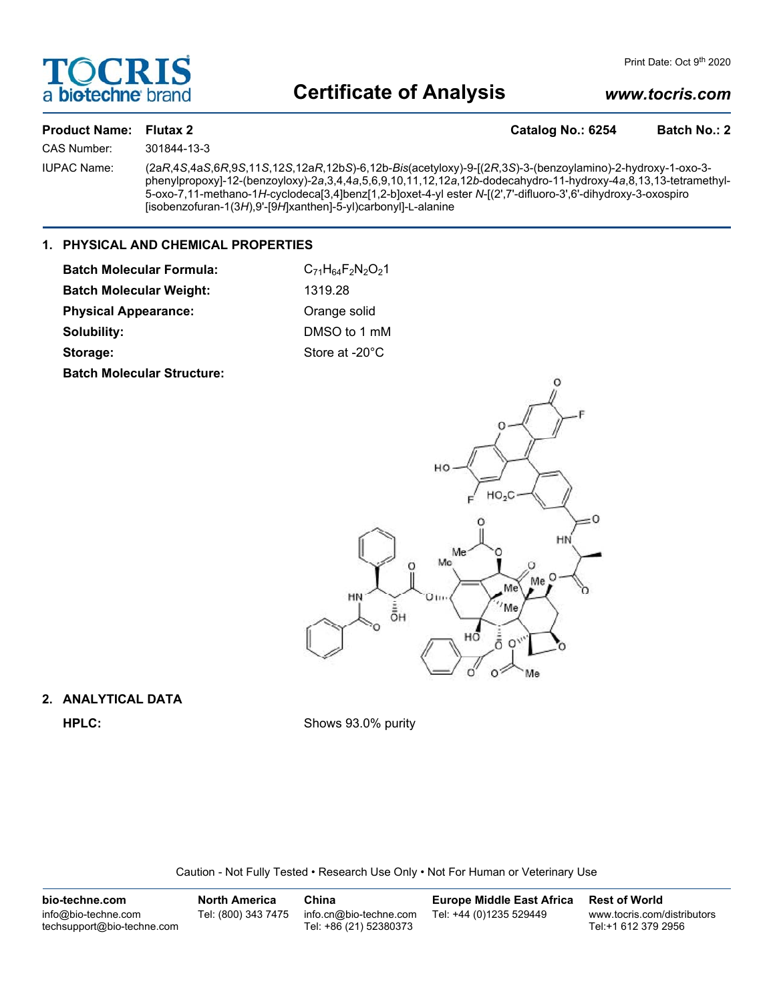

## **Certificate of Analysis**

### *www.tocris.com*

| <b>Product Name: Flutax 2</b> |   |
|-------------------------------|---|
| .                             | . |

Catalog No.: 6254 Batch No.: 2

CAS Number: 301844-13-3

IUPAC Name: (2a*R*,4*S*,4a*S*,6*R*,9*S*,11*S*,12*S*,12a*R*,12b*S*)-6,12b-*Bis*(acetyloxy)-9-[(2*R*,3*S*)-3-(benzoylamino)-2-hydroxy-1-oxo-3 phenylpropoxy]-12-(benzoyloxy)-2*a*,3,4,4*a*,5,6,9,10,11,12,12*a*,12*b*-dodecahydro-11-hydroxy-4*a*,8,13,13-tetramethyl-5-oxo-7,11-methano-1*H*-cyclodeca[3,4]benz[1,2-b]oxet-4-yl ester *N*-[(2',7'-difluoro-3',6'-dihydroxy-3-oxospiro [isobenzofuran-1(3*H*),9'-[9*H*]xanthen]-5-yl)carbonyl]-L-alanine

#### **1. PHYSICAL AND CHEMICAL PROPERTIES**

| <b>Batch Molecular Formula:</b>   | $C_{71}H_{64}F_2N_2O_21$ |
|-----------------------------------|--------------------------|
| <b>Batch Molecular Weight:</b>    | 1319.28                  |
| <b>Physical Appearance:</b>       | Orange solid             |
| Solubility:                       | DMSO to 1 mM             |
| Storage:                          | Store at -20°C           |
| <b>Batch Molecular Structure:</b> |                          |



# **2. ANALYTICAL DATA**

**HPLC:** Shows 93.0% purity

Caution - Not Fully Tested • Research Use Only • Not For Human or Veterinary Use

| bio-techne.com                                    | <b>North America</b> | China                                            | <b>Europe Middle East Africa</b> | <b>Rest of World</b>                               |
|---------------------------------------------------|----------------------|--------------------------------------------------|----------------------------------|----------------------------------------------------|
| info@bio-techne.com<br>techsupport@bio-techne.com | Tel: (800) 343 7475  | info.cn@bio-techne.com<br>Tel: +86 (21) 52380373 | Tel: +44 (0)1235 529449          | www.tocris.com/distributors<br>Tel:+1 612 379 2956 |